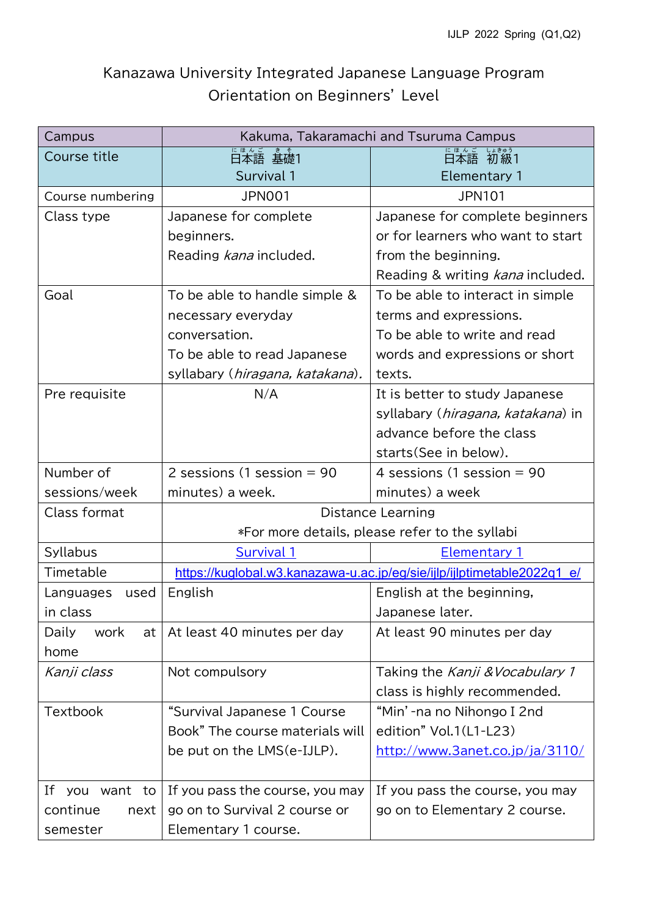## Kanazawa University Integrated Japanese Language Program Orientation on Beginners' Level

| Campus                | Kakuma, Takaramachi and Tsuruma Campus                                  |                                            |
|-----------------------|-------------------------------------------------------------------------|--------------------------------------------|
| Course title          | 日本語 基礎1                                                                 | 日本語 初級1                                    |
|                       | Survival 1                                                              | <b>Elementary 1</b>                        |
| Course numbering      | <b>JPN001</b>                                                           | <b>JPN101</b>                              |
| Class type            | Japanese for complete                                                   | Japanese for complete beginners            |
|                       | beginners.                                                              | or for learners who want to start          |
|                       | Reading kana included.                                                  | from the beginning.                        |
|                       |                                                                         | Reading & writing kana included.           |
| Goal                  | To be able to handle simple &                                           | To be able to interact in simple           |
|                       | necessary everyday                                                      | terms and expressions.                     |
|                       | conversation.                                                           | To be able to write and read               |
|                       | To be able to read Japanese                                             | words and expressions or short             |
|                       | syllabary ( <i>hiragana, katakana</i> ).                                | texts.                                     |
| Pre requisite         | N/A                                                                     | It is better to study Japanese             |
|                       |                                                                         | syllabary ( <i>hiragana, katakana</i> ) in |
|                       |                                                                         | advance before the class                   |
|                       |                                                                         | starts (See in below).                     |
| Number of             | 2 sessions (1 session $= 90$                                            | 4 sessions (1 session $= 90$               |
| sessions/week         | minutes) a week.                                                        | minutes) a week                            |
| Class format          | Distance Learning                                                       |                                            |
|                       | *For more details, please refer to the syllabi                          |                                            |
| Syllabus              | Survival 1                                                              | <b>Elementary 1</b>                        |
| Timetable             | https://kuglobal.w3.kanazawa-u.ac.jp/eg/sie/ijlp/ijlptimetable2022q1 e/ |                                            |
| Languages<br>used     | English                                                                 | English at the beginning,                  |
| in class              |                                                                         | Japanese later.                            |
| Daily<br>work<br>at I | At least 40 minutes per day                                             | At least 90 minutes per day                |
| home                  |                                                                         |                                            |
| Kanji class           | Not compulsory                                                          | Taking the Kanji & Vocabulary 1            |
|                       |                                                                         | class is highly recommended.               |
| <b>Textbook</b>       | "Survival Japanese 1 Course                                             | "Min'-na no Nihongo I 2nd                  |
|                       | Book" The course materials will                                         | edition" Vol.1(L1-L23)                     |
|                       | be put on the LMS(e-IJLP).                                              | http://www.3anet.co.jp/ja/3110/            |
|                       |                                                                         |                                            |
| If<br>you want to     | If you pass the course, you may                                         | If you pass the course, you may            |
| continue<br>next      | go on to Survival 2 course or                                           | go on to Elementary 2 course.              |
| semester              | Elementary 1 course.                                                    |                                            |